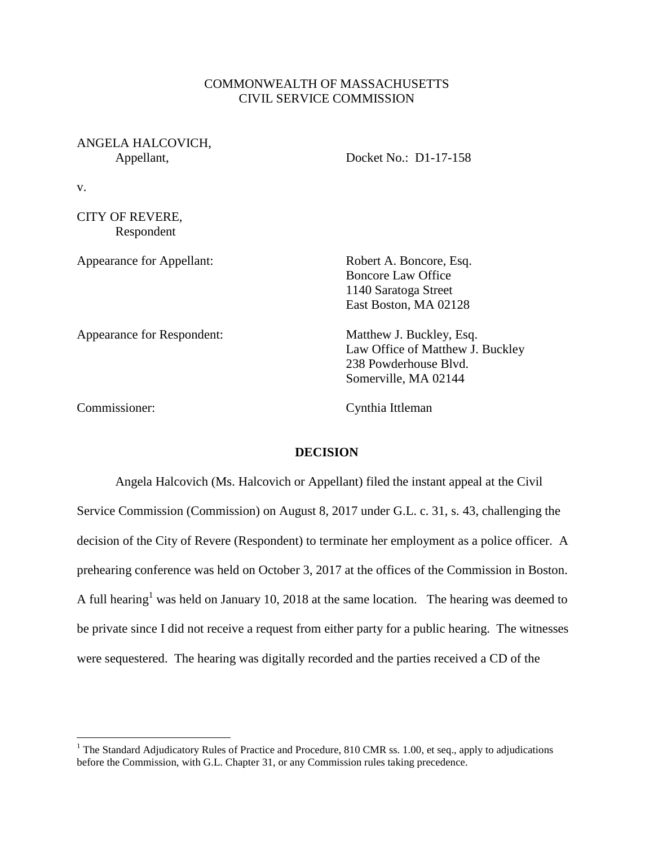## COMMONWEALTH OF MASSACHUSETTS CIVIL SERVICE COMMISSION

# ANGELA HALCOVICH,

Appellant, Docket No.: D1-17-158

v.

CITY OF REVERE, Respondent

| <b>Appearance for Appellant:</b> | Robert A. Boncore, Esq.<br><b>Boncore Law Office</b><br>1140 Saratoga Street<br>East Boston, MA 02128         |
|----------------------------------|---------------------------------------------------------------------------------------------------------------|
| Appearance for Respondent:       | Matthew J. Buckley, Esq.<br>Law Office of Matthew J. Buckley<br>238 Powderhouse Blvd.<br>Somerville, MA 02144 |

 $\overline{a}$ 

Commissioner: Cynthia Ittleman

#### **DECISION**

Angela Halcovich (Ms. Halcovich or Appellant) filed the instant appeal at the Civil Service Commission (Commission) on August 8, 2017 under G.L. c. 31, s. 43, challenging the decision of the City of Revere (Respondent) to terminate her employment as a police officer. A prehearing conference was held on October 3, 2017 at the offices of the Commission in Boston. A full hearing<sup>1</sup> was held on January 10, 2018 at the same location. The hearing was deemed to be private since I did not receive a request from either party for a public hearing. The witnesses were sequestered. The hearing was digitally recorded and the parties received a CD of the

<sup>&</sup>lt;sup>1</sup> The Standard Adjudicatory Rules of Practice and Procedure, 810 CMR ss. 1.00, et seq., apply to adjudications before the Commission, with G.L. Chapter 31, or any Commission rules taking precedence.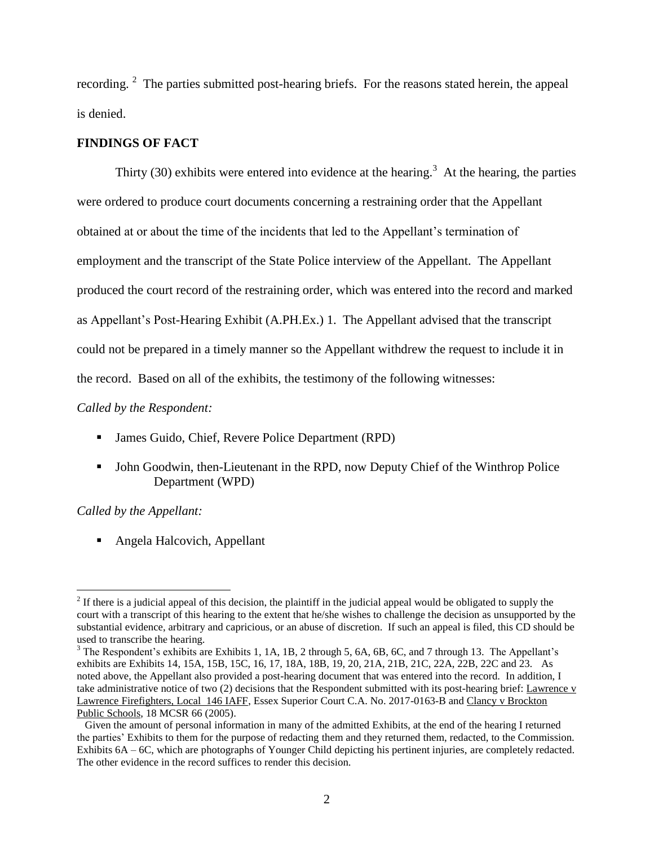recording.  $2$  The parties submitted post-hearing briefs. For the reasons stated herein, the appeal is denied.

## **FINDINGS OF FACT**

Thirty (30) exhibits were entered into evidence at the hearing.<sup>3</sup> At the hearing, the parties were ordered to produce court documents concerning a restraining order that the Appellant obtained at or about the time of the incidents that led to the Appellant's termination of employment and the transcript of the State Police interview of the Appellant. The Appellant produced the court record of the restraining order, which was entered into the record and marked as Appellant's Post-Hearing Exhibit (A.PH.Ex.) 1. The Appellant advised that the transcript could not be prepared in a timely manner so the Appellant withdrew the request to include it in the record. Based on all of the exhibits, the testimony of the following witnesses:

*Called by the Respondent:*

- James Guido, Chief, Revere Police Department (RPD)
- John Goodwin, then-Lieutenant in the RPD, now Deputy Chief of the Winthrop Police Department (WPD)

## *Called by the Appellant:*

 $\overline{a}$ 

■ Angela Halcovich, Appellant

 $2<sup>2</sup>$  If there is a judicial appeal of this decision, the plaintiff in the judicial appeal would be obligated to supply the court with a transcript of this hearing to the extent that he/she wishes to challenge the decision as unsupported by the substantial evidence, arbitrary and capricious, or an abuse of discretion. If such an appeal is filed, this CD should be used to transcribe the hearing.

<sup>&</sup>lt;sup>3</sup> The Respondent's exhibits are Exhibits 1, 1A, 1B, 2 through 5, 6A, 6B, 6C, and 7 through 13. The Appellant's exhibits are Exhibits 14, 15A, 15B, 15C, 16, 17, 18A, 18B, 19, 20, 21A, 21B, 21C, 22A, 22B, 22C and 23. As noted above, the Appellant also provided a post-hearing document that was entered into the record. In addition, I take administrative notice of two (2) decisions that the Respondent submitted with its post-hearing brief: Lawrence v Lawrence Firefighters, Local 146 IAFF, Essex Superior Court C.A. No. 2017-0163-B and Clancy v Brockton Public Schools, 18 MCSR 66 (2005).

Given the amount of personal information in many of the admitted Exhibits, at the end of the hearing I returned the parties' Exhibits to them for the purpose of redacting them and they returned them, redacted, to the Commission. Exhibits 6A – 6C, which are photographs of Younger Child depicting his pertinent injuries, are completely redacted. The other evidence in the record suffices to render this decision.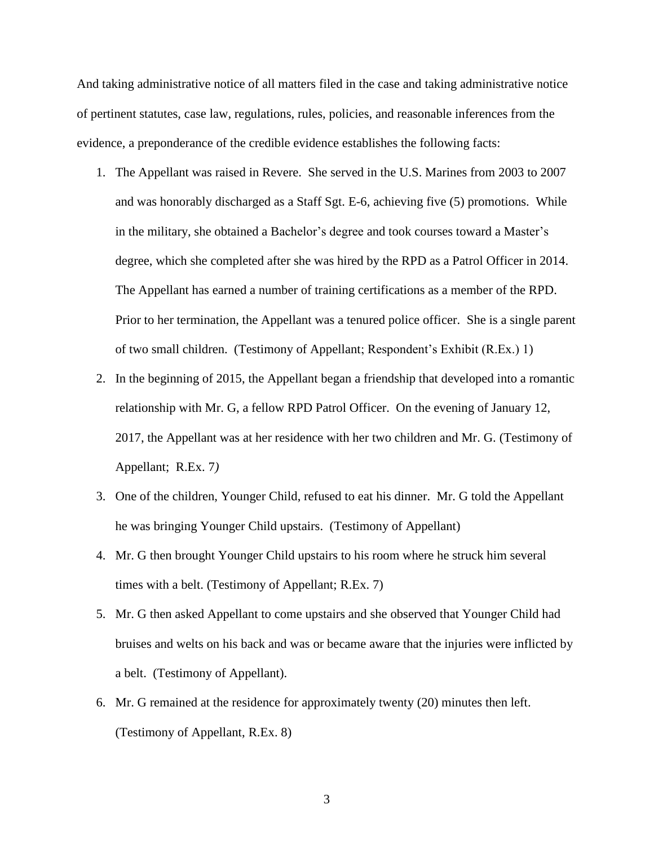And taking administrative notice of all matters filed in the case and taking administrative notice of pertinent statutes, case law, regulations, rules, policies, and reasonable inferences from the evidence, a preponderance of the credible evidence establishes the following facts:

- 1. The Appellant was raised in Revere. She served in the U.S. Marines from 2003 to 2007 and was honorably discharged as a Staff Sgt. E-6, achieving five (5) promotions. While in the military, she obtained a Bachelor's degree and took courses toward a Master's degree, which she completed after she was hired by the RPD as a Patrol Officer in 2014. The Appellant has earned a number of training certifications as a member of the RPD. Prior to her termination, the Appellant was a tenured police officer. She is a single parent of two small children. (Testimony of Appellant; Respondent's Exhibit (R.Ex.) 1)
- 2. In the beginning of 2015, the Appellant began a friendship that developed into a romantic relationship with Mr. G, a fellow RPD Patrol Officer. On the evening of January 12, 2017, the Appellant was at her residence with her two children and Mr. G. (Testimony of Appellant; R.Ex. 7*)*
- 3. One of the children, Younger Child, refused to eat his dinner. Mr. G told the Appellant he was bringing Younger Child upstairs. (Testimony of Appellant)
- 4. Mr. G then brought Younger Child upstairs to his room where he struck him several times with a belt. (Testimony of Appellant; R.Ex. 7)
- 5. Mr. G then asked Appellant to come upstairs and she observed that Younger Child had bruises and welts on his back and was or became aware that the injuries were inflicted by a belt. (Testimony of Appellant).
- 6. Mr. G remained at the residence for approximately twenty (20) minutes then left. (Testimony of Appellant, R.Ex. 8)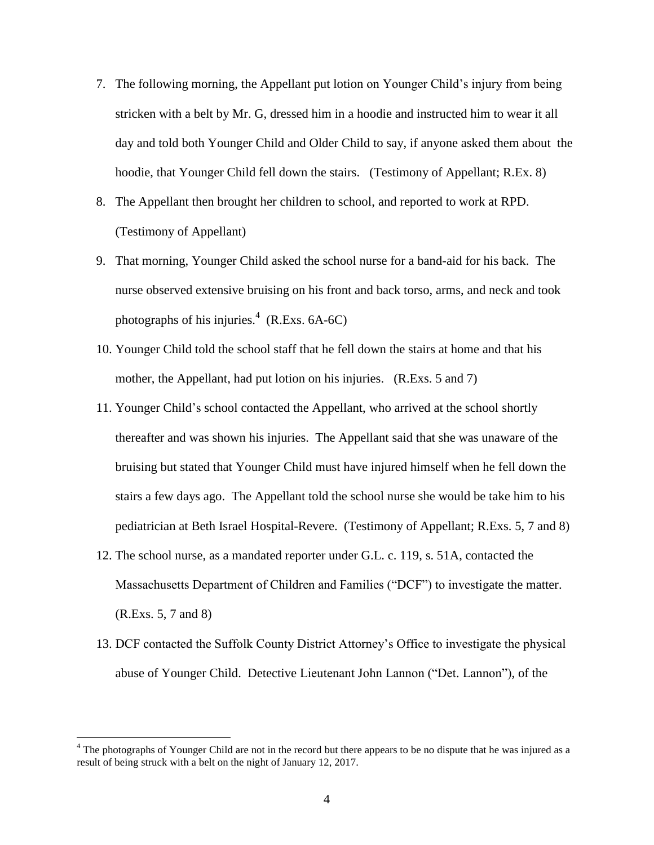- 7. The following morning, the Appellant put lotion on Younger Child's injury from being stricken with a belt by Mr. G, dressed him in a hoodie and instructed him to wear it all day and told both Younger Child and Older Child to say, if anyone asked them about the hoodie, that Younger Child fell down the stairs. (Testimony of Appellant; R.Ex. 8)
- 8. The Appellant then brought her children to school, and reported to work at RPD. (Testimony of Appellant)
- 9. That morning, Younger Child asked the school nurse for a band-aid for his back. The nurse observed extensive bruising on his front and back torso, arms, and neck and took photographs of his injuries. $4$  (R.Exs. 6A-6C)
- 10. Younger Child told the school staff that he fell down the stairs at home and that his mother, the Appellant, had put lotion on his injuries. (R.Exs. 5 and 7)
- 11. Younger Child's school contacted the Appellant, who arrived at the school shortly thereafter and was shown his injuries. The Appellant said that she was unaware of the bruising but stated that Younger Child must have injured himself when he fell down the stairs a few days ago. The Appellant told the school nurse she would be take him to his pediatrician at Beth Israel Hospital-Revere. (Testimony of Appellant; R.Exs. 5, 7 and 8)
- 12. The school nurse, as a mandated reporter under G.L. c. 119, s. 51A, contacted the Massachusetts Department of Children and Families ("DCF") to investigate the matter. (R.Exs. 5, 7 and 8)
- 13. DCF contacted the Suffolk County District Attorney's Office to investigate the physical abuse of Younger Child. Detective Lieutenant John Lannon ("Det. Lannon"), of the

 $\overline{a}$ 

<sup>&</sup>lt;sup>4</sup> The photographs of Younger Child are not in the record but there appears to be no dispute that he was injured as a result of being struck with a belt on the night of January 12, 2017.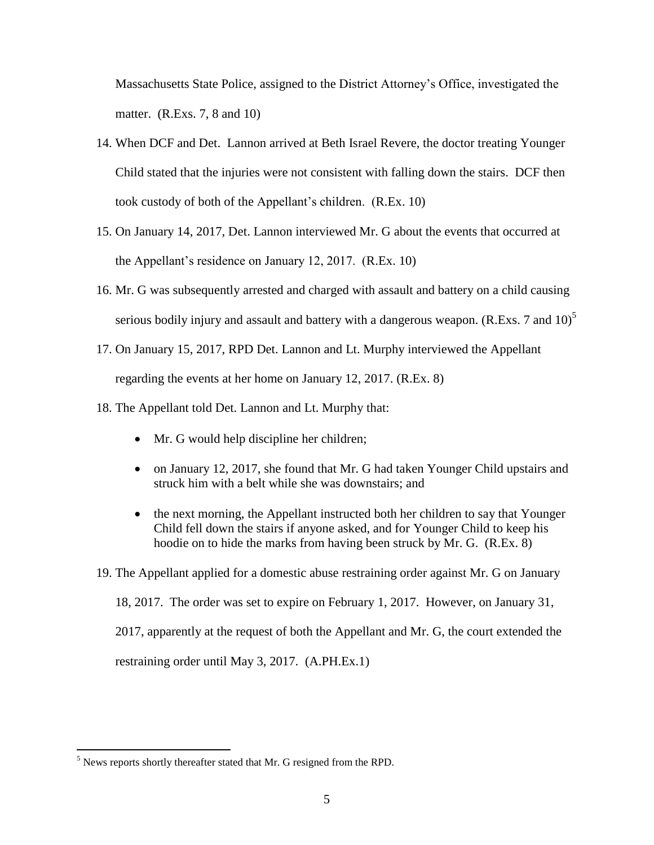Massachusetts State Police, assigned to the District Attorney's Office, investigated the matter. (R.Exs. 7, 8 and 10)

- 14. When DCF and Det. Lannon arrived at Beth Israel Revere, the doctor treating Younger Child stated that the injuries were not consistent with falling down the stairs. DCF then took custody of both of the Appellant's children. (R.Ex. 10)
- 15. On January 14, 2017, Det. Lannon interviewed Mr. G about the events that occurred at the Appellant's residence on January 12, 2017. (R.Ex. 10)
- 16. Mr. G was subsequently arrested and charged with assault and battery on a child causing serious bodily injury and assault and battery with a dangerous weapon. (R.Exs. 7 and  $10<sup>5</sup>$ )
- 17. On January 15, 2017, RPD Det. Lannon and Lt. Murphy interviewed the Appellant regarding the events at her home on January 12, 2017. (R.Ex. 8)
- 18. The Appellant told Det. Lannon and Lt. Murphy that:
	- Mr. G would help discipline her children;
	- on January 12, 2017, she found that Mr. G had taken Younger Child upstairs and struck him with a belt while she was downstairs; and
	- the next morning, the Appellant instructed both her children to say that Younger Child fell down the stairs if anyone asked, and for Younger Child to keep his hoodie on to hide the marks from having been struck by Mr. G. (R.Ex. 8)
- 19. The Appellant applied for a domestic abuse restraining order against Mr. G on January

18, 2017. The order was set to expire on February 1, 2017. However, on January 31,

2017, apparently at the request of both the Appellant and Mr. G, the court extended the

restraining order until May 3, 2017. (A.PH.Ex.1)

 $\overline{a}$ 

 $<sup>5</sup>$  News reports shortly thereafter stated that Mr. G resigned from the RPD.</sup>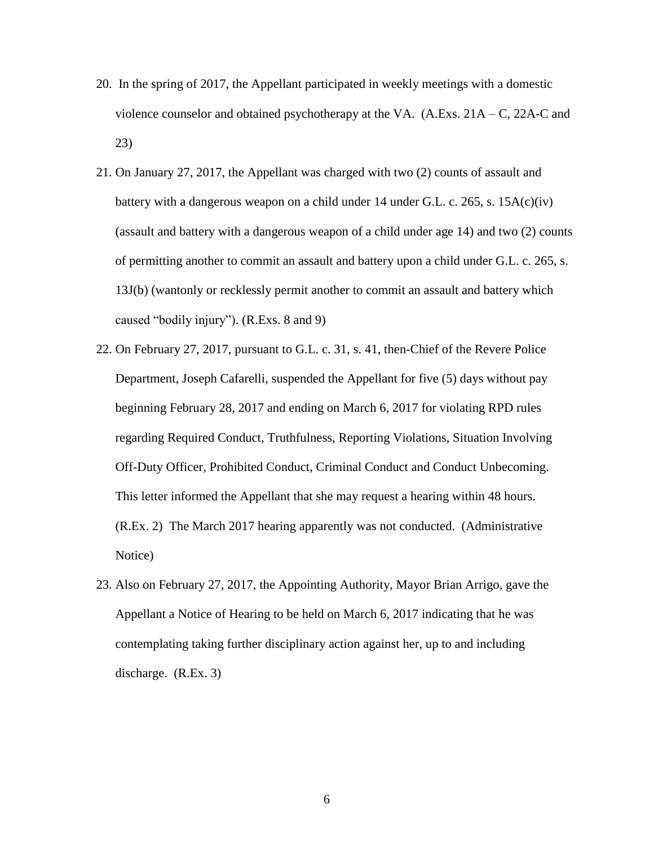- 20. In the spring of 2017, the Appellant participated in weekly meetings with a domestic violence counselor and obtained psychotherapy at the VA.  $(A.Exs. 21A - C, 22A-C, and$ 23)
- 21. On January 27, 2017, the Appellant was charged with two (2) counts of assault and battery with a dangerous weapon on a child under 14 under G.L. c. 265, s.  $15A(c)(iv)$ (assault and battery with a dangerous weapon of a child under age 14) and two (2) counts of permitting another to commit an assault and battery upon a child under G.L. c. 265, s. 13J(b) (wantonly or recklessly permit another to commit an assault and battery which caused "bodily injury"). (R.Exs. 8 and 9)
- 22. On February 27, 2017, pursuant to G.L. c. 31, s. 41, then-Chief of the Revere Police Department, Joseph Cafarelli, suspended the Appellant for five (5) days without pay beginning February 28, 2017 and ending on March 6, 2017 for violating RPD rules regarding Required Conduct, Truthfulness, Reporting Violations, Situation Involving Off-Duty Officer, Prohibited Conduct, Criminal Conduct and Conduct Unbecoming. This letter informed the Appellant that she may request a hearing within 48 hours. (R.Ex. 2) The March 2017 hearing apparently was not conducted. (Administrative Notice)
- 23. Also on February 27, 2017, the Appointing Authority, Mayor Brian Arrigo, gave the Appellant a Notice of Hearing to be held on March 6, 2017 indicating that he was contemplating taking further disciplinary action against her, up to and including discharge. (R.Ex. 3)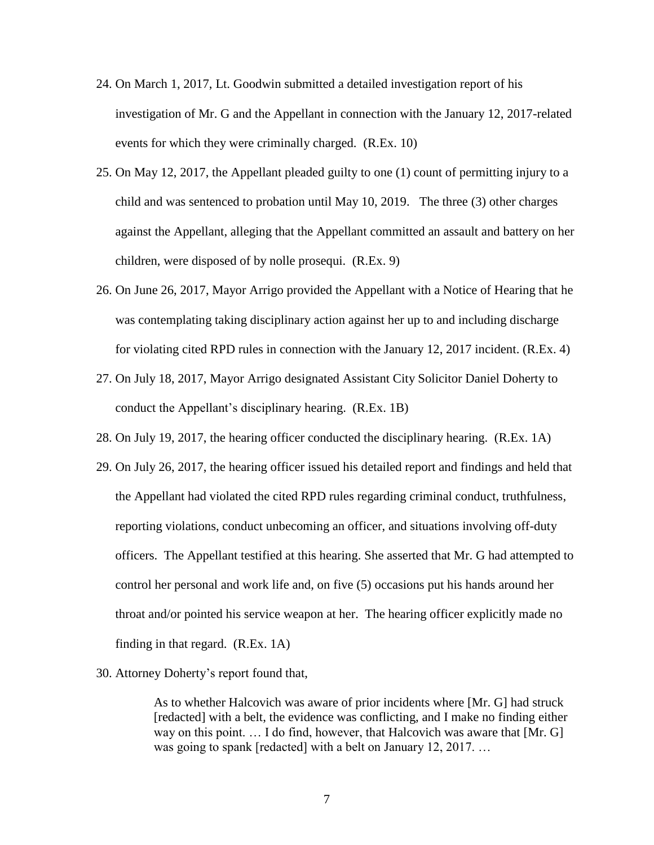- 24. On March 1, 2017, Lt. Goodwin submitted a detailed investigation report of his investigation of Mr. G and the Appellant in connection with the January 12, 2017-related events for which they were criminally charged. (R.Ex. 10)
- 25. On May 12, 2017, the Appellant pleaded guilty to one (1) count of permitting injury to a child and was sentenced to probation until May 10, 2019. The three (3) other charges against the Appellant, alleging that the Appellant committed an assault and battery on her children, were disposed of by nolle prosequi. (R.Ex. 9)
- 26. On June 26, 2017, Mayor Arrigo provided the Appellant with a Notice of Hearing that he was contemplating taking disciplinary action against her up to and including discharge for violating cited RPD rules in connection with the January 12, 2017 incident. (R.Ex. 4)
- 27. On July 18, 2017, Mayor Arrigo designated Assistant City Solicitor Daniel Doherty to conduct the Appellant's disciplinary hearing. (R.Ex. 1B)
- 28. On July 19, 2017, the hearing officer conducted the disciplinary hearing. (R.Ex. 1A)
- 29. On July 26, 2017, the hearing officer issued his detailed report and findings and held that the Appellant had violated the cited RPD rules regarding criminal conduct, truthfulness, reporting violations, conduct unbecoming an officer, and situations involving off-duty officers. The Appellant testified at this hearing. She asserted that Mr. G had attempted to control her personal and work life and, on five (5) occasions put his hands around her throat and/or pointed his service weapon at her. The hearing officer explicitly made no finding in that regard. (R.Ex. 1A)
- 30. Attorney Doherty's report found that,

As to whether Halcovich was aware of prior incidents where [Mr. G] had struck [redacted] with a belt, the evidence was conflicting, and I make no finding either way on this point. … I do find, however, that Halcovich was aware that [Mr. G] was going to spank [redacted] with a belt on January 12, 2017. ...

7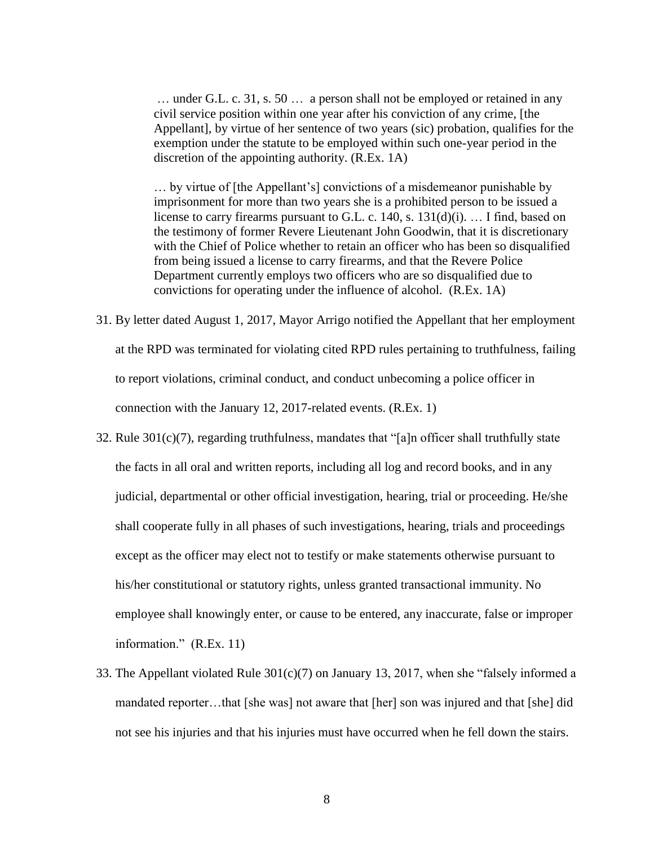… under G.L. c. 31, s. 50 … a person shall not be employed or retained in any civil service position within one year after his conviction of any crime, [the Appellant], by virtue of her sentence of two years (sic) probation, qualifies for the exemption under the statute to be employed within such one-year period in the discretion of the appointing authority. (R.Ex. 1A)

… by virtue of [the Appellant's] convictions of a misdemeanor punishable by imprisonment for more than two years she is a prohibited person to be issued a license to carry firearms pursuant to G.L. c. 140, s. 131(d)(i). … I find, based on the testimony of former Revere Lieutenant John Goodwin, that it is discretionary with the Chief of Police whether to retain an officer who has been so disqualified from being issued a license to carry firearms, and that the Revere Police Department currently employs two officers who are so disqualified due to convictions for operating under the influence of alcohol. (R.Ex. 1A)

- 31. By letter dated August 1, 2017, Mayor Arrigo notified the Appellant that her employment at the RPD was terminated for violating cited RPD rules pertaining to truthfulness, failing to report violations, criminal conduct, and conduct unbecoming a police officer in connection with the January 12, 2017-related events. (R.Ex. 1)
- 32. Rule 301(c)(7), regarding truthfulness, mandates that "[a]n officer shall truthfully state the facts in all oral and written reports, including all log and record books, and in any judicial, departmental or other official investigation, hearing, trial or proceeding. He/she shall cooperate fully in all phases of such investigations, hearing, trials and proceedings except as the officer may elect not to testify or make statements otherwise pursuant to his/her constitutional or statutory rights, unless granted transactional immunity. No employee shall knowingly enter, or cause to be entered, any inaccurate, false or improper information." (R.Ex. 11)
- 33. The Appellant violated Rule 301(c)(7) on January 13, 2017, when she "falsely informed a mandated reporter…that [she was] not aware that [her] son was injured and that [she] did not see his injuries and that his injuries must have occurred when he fell down the stairs.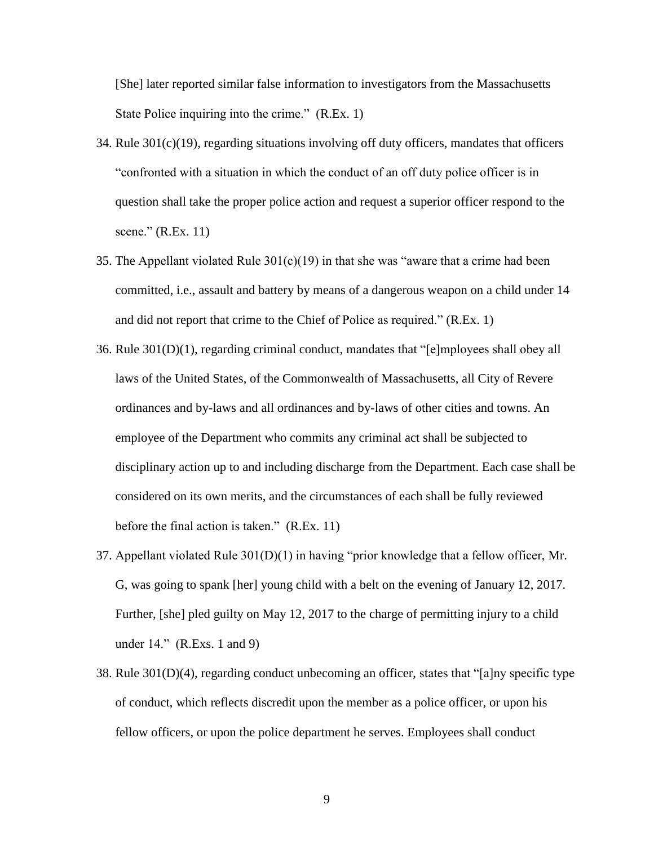[She] later reported similar false information to investigators from the Massachusetts State Police inquiring into the crime." (R.Ex. 1)

- 34. Rule  $301(c)(19)$ , regarding situations involving off duty officers, mandates that officers "confronted with a situation in which the conduct of an off duty police officer is in question shall take the proper police action and request a superior officer respond to the scene." (R.Ex. 11)
- 35. The Appellant violated Rule  $301(c)(19)$  in that she was "aware that a crime had been committed, i.e., assault and battery by means of a dangerous weapon on a child under 14 and did not report that crime to the Chief of Police as required." (R.Ex. 1)
- 36. Rule 301(D)(1), regarding criminal conduct, mandates that "[e]mployees shall obey all laws of the United States, of the Commonwealth of Massachusetts, all City of Revere ordinances and by-laws and all ordinances and by-laws of other cities and towns. An employee of the Department who commits any criminal act shall be subjected to disciplinary action up to and including discharge from the Department. Each case shall be considered on its own merits, and the circumstances of each shall be fully reviewed before the final action is taken." (R.Ex. 11)
- 37. Appellant violated Rule 301(D)(1) in having "prior knowledge that a fellow officer, Mr. G, was going to spank [her] young child with a belt on the evening of January 12, 2017. Further, [she] pled guilty on May 12, 2017 to the charge of permitting injury to a child under 14." (R.Exs. 1 and 9)
- 38. Rule 301(D)(4), regarding conduct unbecoming an officer, states that "[a]ny specific type of conduct, which reflects discredit upon the member as a police officer, or upon his fellow officers, or upon the police department he serves. Employees shall conduct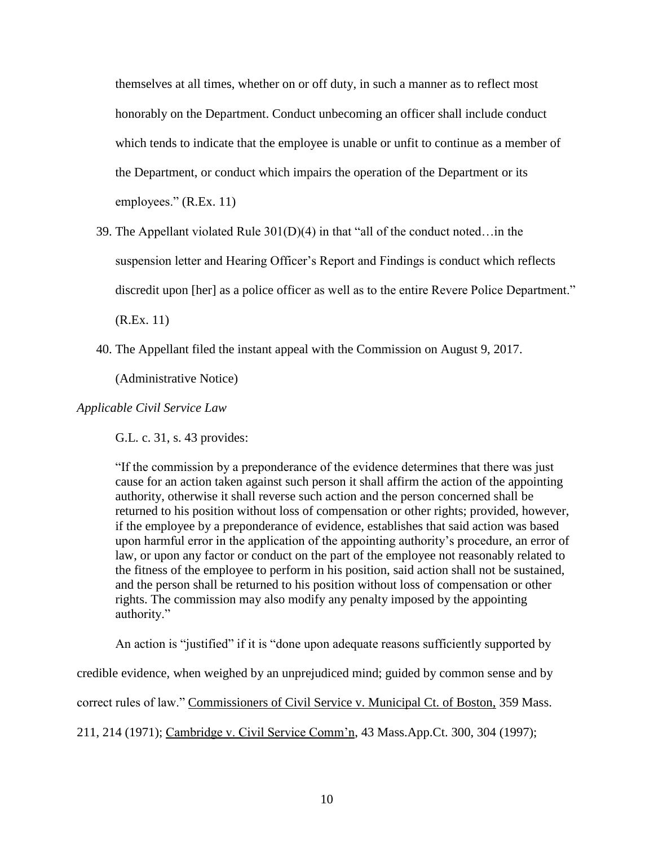themselves at all times, whether on or off duty, in such a manner as to reflect most honorably on the Department. Conduct unbecoming an officer shall include conduct which tends to indicate that the employee is unable or unfit to continue as a member of the Department, or conduct which impairs the operation of the Department or its employees." (R.Ex. 11)

39. The Appellant violated Rule 301(D)(4) in that "all of the conduct noted…in the suspension letter and Hearing Officer's Report and Findings is conduct which reflects discredit upon [her] as a police officer as well as to the entire Revere Police Department."

(R.Ex. 11)

40. The Appellant filed the instant appeal with the Commission on August 9, 2017.

(Administrative Notice)

*Applicable Civil Service Law*

G.L. c. 31, s. 43 provides:

"If the commission by a preponderance of the evidence determines that there was just cause for an action taken against such person it shall affirm the action of the appointing authority, otherwise it shall reverse such action and the person concerned shall be returned to his position without loss of compensation or other rights; provided, however, if the employee by a preponderance of evidence, establishes that said action was based upon harmful error in the application of the appointing authority's procedure, an error of law, or upon any factor or conduct on the part of the employee not reasonably related to the fitness of the employee to perform in his position, said action shall not be sustained, and the person shall be returned to his position without loss of compensation or other rights. The commission may also modify any penalty imposed by the appointing authority."

An action is "justified" if it is "done upon adequate reasons sufficiently supported by credible evidence, when weighed by an unprejudiced mind; guided by common sense and by correct rules of law." Commissioners of Civil Service v. Municipal Ct. of Boston, 359 Mass. 211, 214 (1971); Cambridge v. Civil Service Comm'n, 43 Mass.App.Ct. 300, 304 (1997);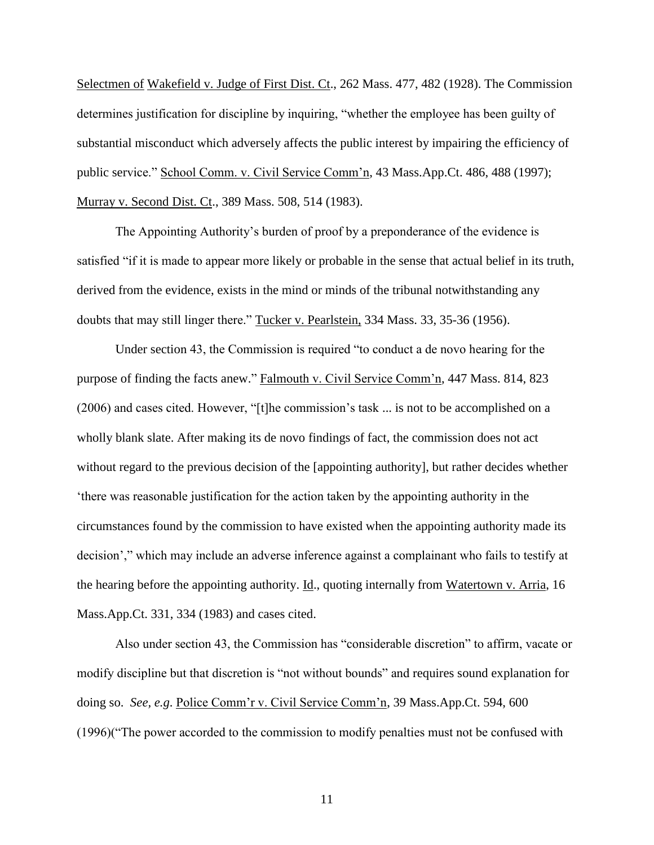Selectmen of Wakefield v. Judge of First Dist. Ct., 262 Mass. 477, 482 (1928). The Commission determines justification for discipline by inquiring, "whether the employee has been guilty of substantial misconduct which adversely affects the public interest by impairing the efficiency of public service." School Comm. v. Civil Service Comm'n, 43 Mass.App.Ct. 486, 488 (1997); Murray v. Second Dist. Ct., 389 Mass. 508, 514 (1983).

The Appointing Authority's burden of proof by a preponderance of the evidence is satisfied "if it is made to appear more likely or probable in the sense that actual belief in its truth, derived from the evidence, exists in the mind or minds of the tribunal notwithstanding any doubts that may still linger there." Tucker v. Pearlstein, 334 Mass. 33, 35-36 (1956).

Under section 43, the Commission is required "to conduct a de novo hearing for the purpose of finding the facts anew." Falmouth v. Civil Service Comm'n, 447 Mass. 814, 823 (2006) and cases cited. However, "[t]he commission's task ... is not to be accomplished on a wholly blank slate. After making its de novo findings of fact, the commission does not act without regard to the previous decision of the [appointing authority], but rather decides whether 'there was reasonable justification for the action taken by the appointing authority in the circumstances found by the commission to have existed when the appointing authority made its decision'," which may include an adverse inference against a complainant who fails to testify at the hearing before the appointing authority. *Id.*, quoting internally from Watertown v. Arria, 16 Mass.App.Ct. 331, 334 (1983) and cases cited.

Also under section 43, the Commission has "considerable discretion" to affirm, vacate or modify discipline but that discretion is "not without bounds" and requires sound explanation for doing so. *See, e.g*. Police Comm'r v. Civil Service Comm'n, 39 Mass.App.Ct. 594, 600 (1996)("The power accorded to the commission to modify penalties must not be confused with

11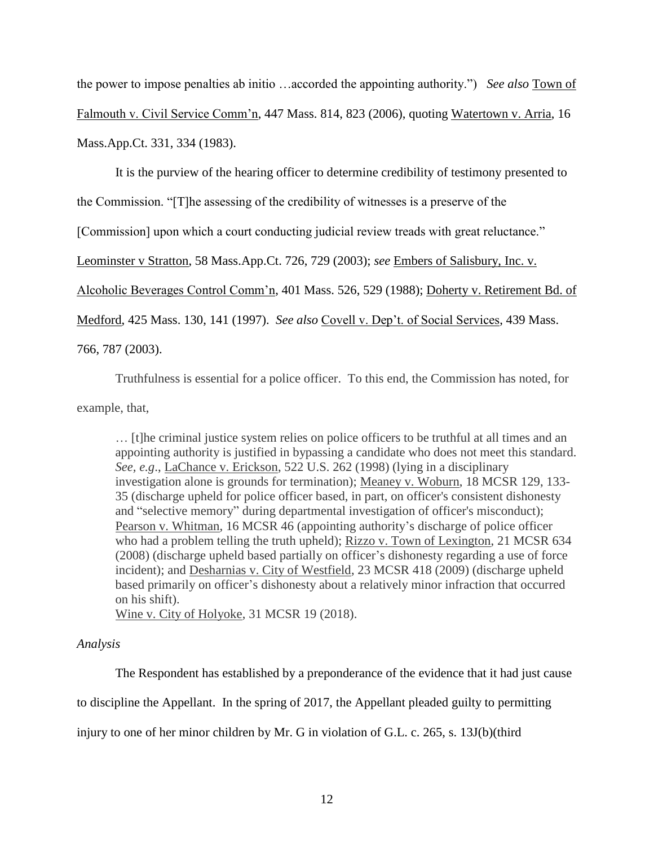the power to impose penalties ab initio …accorded the appointing authority.") *See also* Town of Falmouth v. Civil Service Comm'n, 447 Mass. 814, 823 (2006), quoting Watertown v. Arria, 16 Mass.App.Ct. 331, 334 (1983).

It is the purview of the hearing officer to determine credibility of testimony presented to

the Commission. "[T]he assessing of the credibility of witnesses is a preserve of the

[Commission] upon which a court conducting judicial review treads with great reluctance."

Leominster v Stratton, 58 Mass.App.Ct. 726, 729 (2003); *see* Embers of Salisbury, Inc. v.

Alcoholic Beverages Control Comm'n, 401 Mass. 526, 529 (1988); Doherty v. Retirement Bd. of

Medford, 425 Mass. 130, 141 (1997). *See also* Covell v. Dep't. of Social Services, 439 Mass.

766, 787 (2003).

Truthfulness is essential for a police officer. To this end, the Commission has noted, for

example, that,

… [t]he criminal justice system relies on police officers to be truthful at all times and an appointing authority is justified in bypassing a candidate who does not meet this standard. *See, e.g*., LaChance v. Erickson, 522 U.S. 262 (1998) (lying in a disciplinary investigation alone is grounds for termination); Meaney v. Woburn, 18 MCSR 129, 133- 35 (discharge upheld for police officer based, in part, on officer's consistent dishonesty and "selective memory" during departmental investigation of officer's misconduct); Pearson v. Whitman, 16 MCSR 46 (appointing authority's discharge of police officer who had a problem telling the truth upheld); Rizzo v. Town of Lexington, 21 MCSR 634 (2008) (discharge upheld based partially on officer's dishonesty regarding a use of force incident); and Desharnias v. City of Westfield, 23 MCSR 418 (2009) (discharge upheld based primarily on officer's dishonesty about a relatively minor infraction that occurred on his shift).

Wine v. City of Holyoke, 31 MCSR 19 (2018).

# *Analysis*

The Respondent has established by a preponderance of the evidence that it had just cause to discipline the Appellant. In the spring of 2017, the Appellant pleaded guilty to permitting injury to one of her minor children by Mr. G in violation of G.L. c. 265, s. 13J(b)(third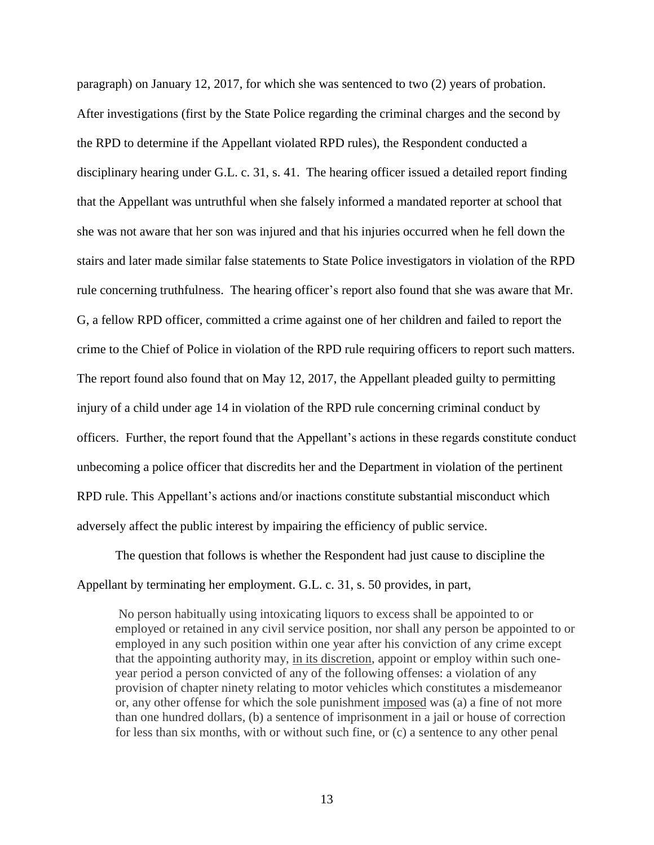paragraph) on January 12, 2017, for which she was sentenced to two (2) years of probation. After investigations (first by the State Police regarding the criminal charges and the second by the RPD to determine if the Appellant violated RPD rules), the Respondent conducted a disciplinary hearing under G.L. c. 31, s. 41. The hearing officer issued a detailed report finding that the Appellant was untruthful when she falsely informed a mandated reporter at school that she was not aware that her son was injured and that his injuries occurred when he fell down the stairs and later made similar false statements to State Police investigators in violation of the RPD rule concerning truthfulness. The hearing officer's report also found that she was aware that Mr. G, a fellow RPD officer, committed a crime against one of her children and failed to report the crime to the Chief of Police in violation of the RPD rule requiring officers to report such matters. The report found also found that on May 12, 2017, the Appellant pleaded guilty to permitting injury of a child under age 14 in violation of the RPD rule concerning criminal conduct by officers. Further, the report found that the Appellant's actions in these regards constitute conduct unbecoming a police officer that discredits her and the Department in violation of the pertinent RPD rule. This Appellant's actions and/or inactions constitute substantial misconduct which adversely affect the public interest by impairing the efficiency of public service.

The question that follows is whether the Respondent had just cause to discipline the Appellant by terminating her employment. G.L. c. 31, s. 50 provides, in part,

No person habitually using intoxicating liquors to excess shall be appointed to or employed or retained in any civil service position, nor shall any person be appointed to or employed in any such position within one year after his conviction of any crime except that the appointing authority may, in its discretion, appoint or employ within such oneyear period a person convicted of any of the following offenses: a violation of any provision of chapter ninety relating to motor vehicles which constitutes a misdemeanor or, any other offense for which the sole punishment imposed was (a) a fine of not more than one hundred dollars, (b) a sentence of imprisonment in a jail or house of correction for less than six months, with or without such fine, or (c) a sentence to any other penal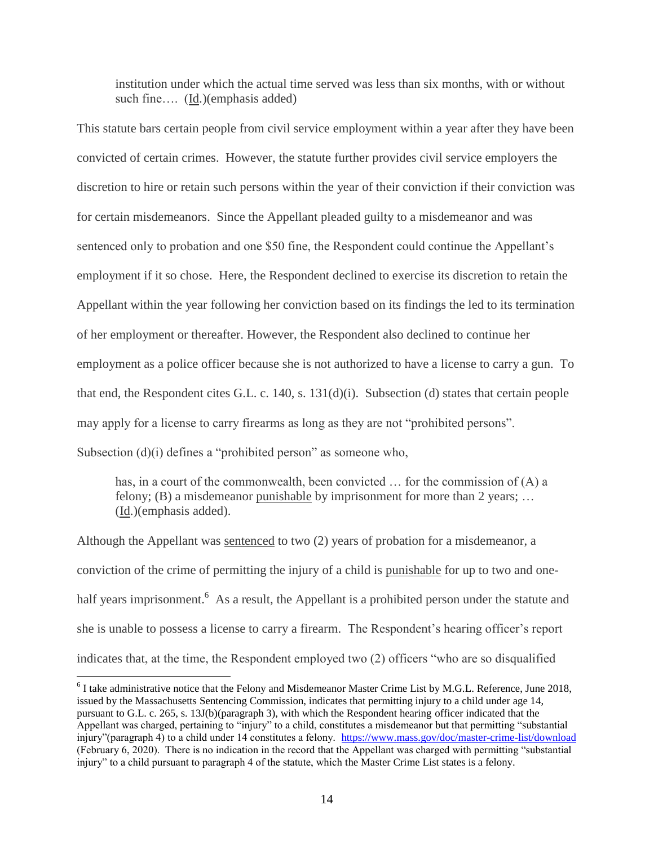institution under which the actual time served was less than six months, with or without such fine.... (Id.)(emphasis added)

This statute bars certain people from civil service employment within a year after they have been convicted of certain crimes. However, the statute further provides civil service employers the discretion to hire or retain such persons within the year of their conviction if their conviction was for certain misdemeanors. Since the Appellant pleaded guilty to a misdemeanor and was sentenced only to probation and one \$50 fine, the Respondent could continue the Appellant's employment if it so chose. Here, the Respondent declined to exercise its discretion to retain the Appellant within the year following her conviction based on its findings the led to its termination of her employment or thereafter. However, the Respondent also declined to continue her employment as a police officer because she is not authorized to have a license to carry a gun. To that end, the Respondent cites G.L. c. 140, s. 131(d)(i). Subsection (d) states that certain people may apply for a license to carry firearms as long as they are not "prohibited persons". Subsection (d)(i) defines a "prohibited person" as someone who,

has, in a court of the commonwealth, been convicted  $\ldots$  for the commission of  $(A)$  a felony; (B) a misdemeanor punishable by imprisonment for more than 2 years; ... (Id.)(emphasis added).

Although the Appellant was sentenced to two (2) years of probation for a misdemeanor, a conviction of the crime of permitting the injury of a child is punishable for up to two and onehalf years imprisonment.<sup>6</sup> As a result, the Appellant is a prohibited person under the statute and she is unable to possess a license to carry a firearm. The Respondent's hearing officer's report indicates that, at the time, the Respondent employed two (2) officers "who are so disqualified

 $\overline{a}$ 

 $6$  I take administrative notice that the Felony and Misdemeanor Master Crime List by M.G.L. Reference, June 2018, issued by the Massachusetts Sentencing Commission, indicates that permitting injury to a child under age 14, pursuant to G.L. c. 265, s. 13J(b)(paragraph 3), with which the Respondent hearing officer indicated that the Appellant was charged, pertaining to "injury" to a child, constitutes a misdemeanor but that permitting "substantial injury"(paragraph 4) to a child under 14 constitutes a felony. <https://www.mass.gov/doc/master-crime-list/download> (February 6, 2020). There is no indication in the record that the Appellant was charged with permitting "substantial injury" to a child pursuant to paragraph 4 of the statute, which the Master Crime List states is a felony.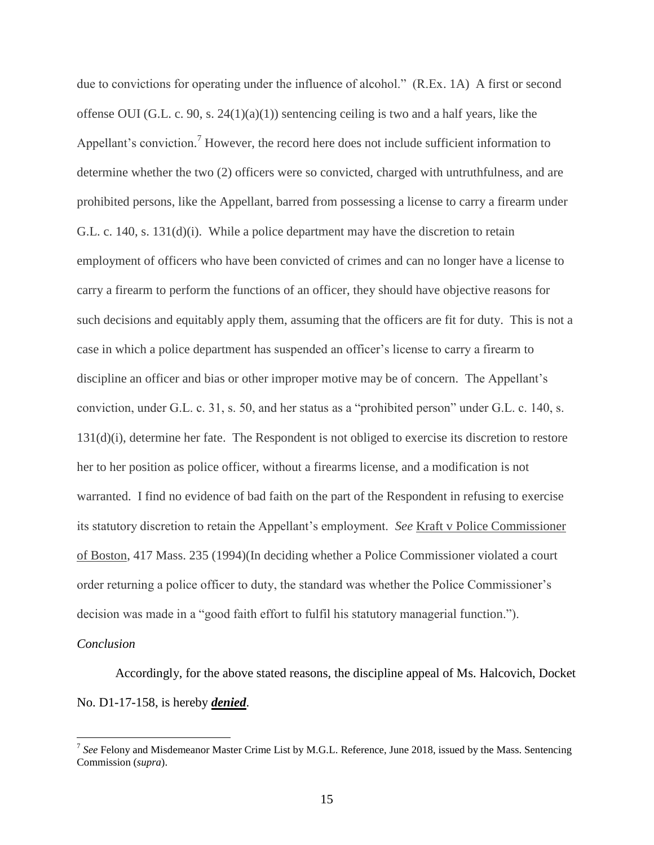due to convictions for operating under the influence of alcohol." (R.Ex. 1A) A first or second offense OUI (G.L. c. 90, s.  $24(1)(a)(1)$ ) sentencing ceiling is two and a half years, like the Appellant's conviction.<sup>7</sup> However, the record here does not include sufficient information to determine whether the two (2) officers were so convicted, charged with untruthfulness, and are prohibited persons, like the Appellant, barred from possessing a license to carry a firearm under G.L. c. 140, s. 131(d)(i). While a police department may have the discretion to retain employment of officers who have been convicted of crimes and can no longer have a license to carry a firearm to perform the functions of an officer, they should have objective reasons for such decisions and equitably apply them, assuming that the officers are fit for duty. This is not a case in which a police department has suspended an officer's license to carry a firearm to discipline an officer and bias or other improper motive may be of concern. The Appellant's conviction, under G.L. c. 31, s. 50, and her status as a "prohibited person" under G.L. c. 140, s. 131(d)(i), determine her fate. The Respondent is not obliged to exercise its discretion to restore her to her position as police officer, without a firearms license, and a modification is not warranted. I find no evidence of bad faith on the part of the Respondent in refusing to exercise its statutory discretion to retain the Appellant's employment. *See* Kraft v Police Commissioner of Boston, 417 Mass. 235 (1994)(In deciding whether a Police Commissioner violated a court order returning a police officer to duty, the standard was whether the Police Commissioner's decision was made in a "good faith effort to fulfil his statutory managerial function.").

#### *Conclusion*

 $\overline{a}$ 

Accordingly, for the above stated reasons, the discipline appeal of Ms. Halcovich, Docket No. D1-17-158, is hereby *denied*.

<sup>&</sup>lt;sup>7</sup> See Felony and Misdemeanor Master Crime List by M.G.L. Reference, June 2018, issued by the Mass. Sentencing Commission (*supra*).